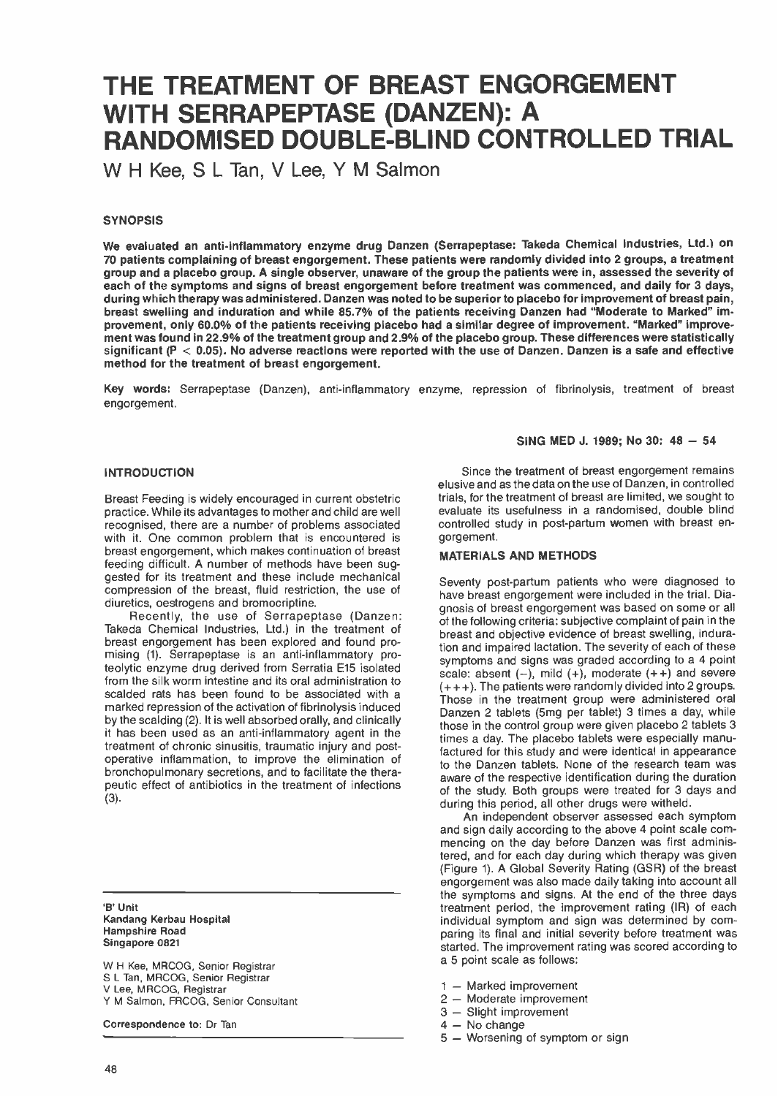# THE TREATMENT OF BREAST ENGORGEMENT WITH SERRAPEPTASE (DANZEN): A RANDOMISED DOUBLE-BLIND CONTROLLED TRIAL

W H Kee, S L Tan, V Lee, Y M Salmon

# **SYNOPSIS**

We evaluated an anti-inflammatory enzyme drug Danzen (Serrapeptase: Takeda Chemical Industries, Ltd.) on 70 patients complaining of breast engorgement. These patients were randomly divided into 2 groups, a treatment group and a placebo group. A single observer, unaware of the group the patients were in, assessed the severity of each of the symptoms and signs of breast engorgement before treatment was commenced, and daily for 3 days, during which therapy was administered. Danzen was noted to be superior to placebo for improvement of breast pain, breast swelling and induration and while 85.7% of the patients receiving Danzen had "Moderate to Marked" improvement, only 60.0% of the patients receiving placebo had a similar degree of improvement. "Marked" improvement was found in 22.9% of the treatment group and 2.9% of the placebo group. These differences were statistically significant  $(P < 0.05)$ . No adverse reactions were reported with the use of Danzen. Danzen is a safe and effective method for the treatment of breast engorgement.

Key words: Serrapeptase (Danzen), anti-inflammatory enzyme, repression of fibrinolysis, treatment of breast engorgement.

# **INTRODUCTION**

Breast Feeding is widely encouraged in current obstetric practice. While its advantages to mother and child are well recognised, there are a number of problems associated with it. One common problem that is encountered is breast engorgement, which makes continuation of breast feeding difficult. A number of methods have been suggested for its treatment and these include mechanical compression of the breast, fluid restriction, the use of diuretics, oestrogens and bromocriptine.

Recently, the use of Serrapeptase (Danzen: Takeda Chemical Industries, Ltd.) in the treatment of breast engorgement has been explored and found promising (1). Serrapeptase is an anti-inflammatory proteolytic enzyme drug derived from Serratia E15 isolated from the silk worm intestine and its oral administration to scalded rats has been found to be associated with a marked repression of the activation of fibrinolysis induced by the scalding (2). It is well absorbed orally, and clinically it has been used as an anti-inflammatory agent in the treatment of chronic sinusitis, traumatic injury and postoperative inflammation, to improve the elimination of bronchopulmonary secretions, and to facilitate the therapeutic effect of antibiotics in the treatment of infections (3).

#### 'B' Unit Kandang Kerbau Hospital Hampshire Road Singapore 0821

W H Kee, MRCOG, Senior Registrar S L Tan, MRCOG, Senior Registrar V Lee, MRCOG, Registrar Y M Salmon, FRCOG, Senior Consultant

Correspondence to: Dr Tan

#### SING MED J. 1989; No 30: 48 - 54

Since the treatment of breast engorgement remains elusive and as the data on the use of Danzen, in controlled trials, for the treatment of breast are limited, we sought to evaluate its usefulness in a randomised, double blind controlled study in post-partum women with breast engorgement.

# MATERIALS AND METHODS

Seventy post-partum patients who were diagnosed to have breast engorgement were included in the trial. Diagnosis of breast engorgement was based on some or all of the following criteria: subjective complaint of pain in the breast and objective evidence of breast swelling, induration and impaired lactation. The severity of each of these symptoms and signs was graded according to a 4 point scale: absent  $(-)$ , mild  $(+)$ , moderate  $(+)$  and severe  $(+++)$ . The patients were randomly divided into 2 groups. Those in the treatment group were administered oral Danzen 2 tablets (5mg per tablet) 3 times a day, while those in the control group were given placebo 2 tablets 3 times a day. The placebo tablets were especially manufactured for this study and were identical in appearance to the Danzen tablets. None of the research team was aware of the respective identification during the duration of the study. Both groups were treated for 3 days and during this period, all other drugs were witheld.

An independent observer assessed each symptom and sign daily according to the above 4 point scale commencing on the day before Danzen was first administered, and for each day during which therapy was given (Figure 1). A Global Severity Rating (GSR) of the breast engorgement was also made daily taking into account all the symptoms and signs. At the end of the three days treatment period, the improvement rating (IR) of each individual symptom and sign was determined by comparing its final and initial severity before treatment was started. The improvement rating was scored according to a 5 point scale as follows:

- 1 Marked improvement
- <sup>2</sup> Moderate improvement
- <sup>3</sup> Slight improvement
- $4 No$  change
- <sup>5</sup> Worsening of symptom or sign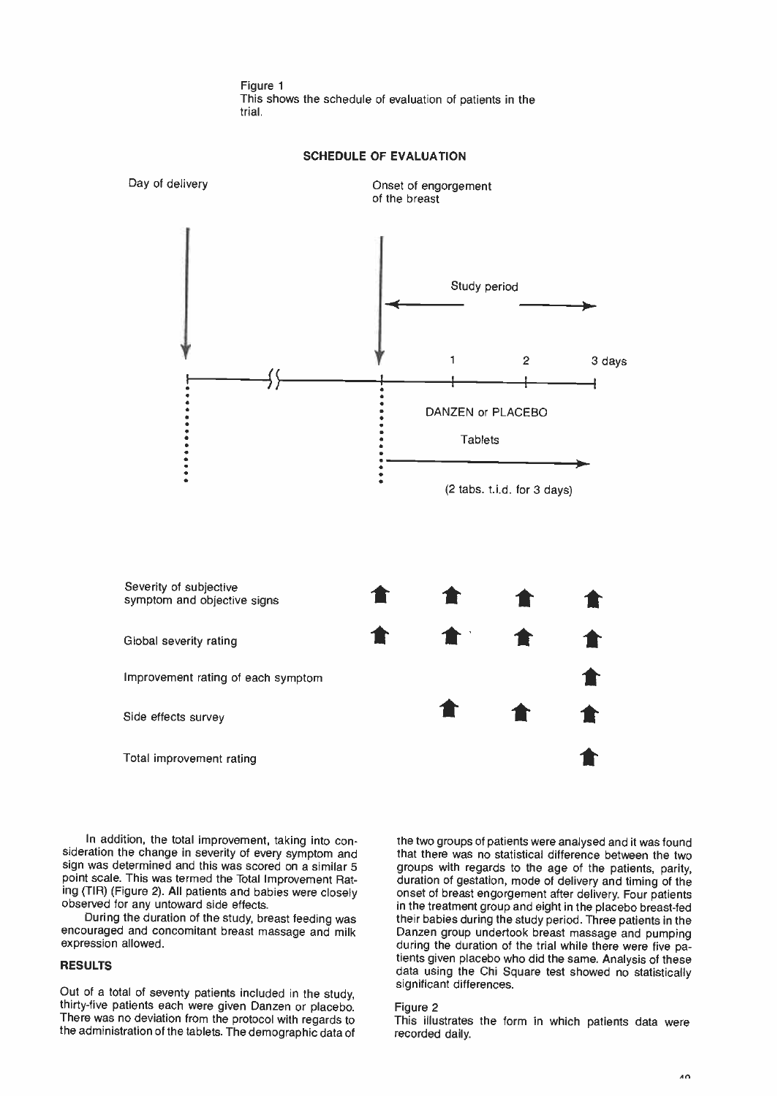Figure 1 This shows the schedule of evaluation of patients in the trial.

# Day of delivery **Onset of engorgement** of the breast Study period 2 3 days 1  $\eta$ DANZEN or PLACEBO **Tablets** (2 tabs. t.i.d. for 3 days) Severity of subjective symptom and objective signs Global severity rating Improvement rating of each symptom Side effects survey  $\overline{1}$   $\overline{1}$   $\overline{1}$   $\overline{1}$   $\overline{1}$   $\overline{1}$   $\overline{1}$   $\overline{1}$   $\overline{1}$   $\overline{1}$   $\overline{1}$   $\overline{1}$   $\overline{1}$   $\overline{1}$   $\overline{1}$   $\overline{1}$   $\overline{1}$   $\overline{1}$   $\overline{1}$   $\overline{1}$   $\overline{1}$   $\overline{1}$   $\over$ Total improvement rating

SCHEDULE OF EVALUATION

In addition, the total improvement, taking into consideration the change in severity of every symptom and sign was determined and this was scored on a similar 5 point scale. This was termed the Total Improvement Rating (TIR) (Figure 2). All patients and babies were closely observed for any untoward side effects.

During the duration of the study, breast feeding was encouraged and concomitant breast massage and milk expression allowed.

# RESULTS

Out of a total of seventy patients included in the study, thirty-five patients each were given Danzen or placebo. There was no deviation from the protocol with regards to the administration of the tablets. The demographic data of

the two groups of patients were analysed and it was found that there was no statistical difference between the two groups with regards to the age of the patients, parity, duration of gestation, mode of delivery and timing of the onset of breast engorgement after delivery. Four patients in the treatment group and eight in the placebo breast-fed their babies during the study period. Three patients in the Danzen group undertook breast massage and pumping during the duration of the trial while there were five patients given placebo who did the same. Analysis of these data using the Chi Square test showed no statistically significant differences.

# Figure 2

This illustrates the form in which patients data were recorded daily.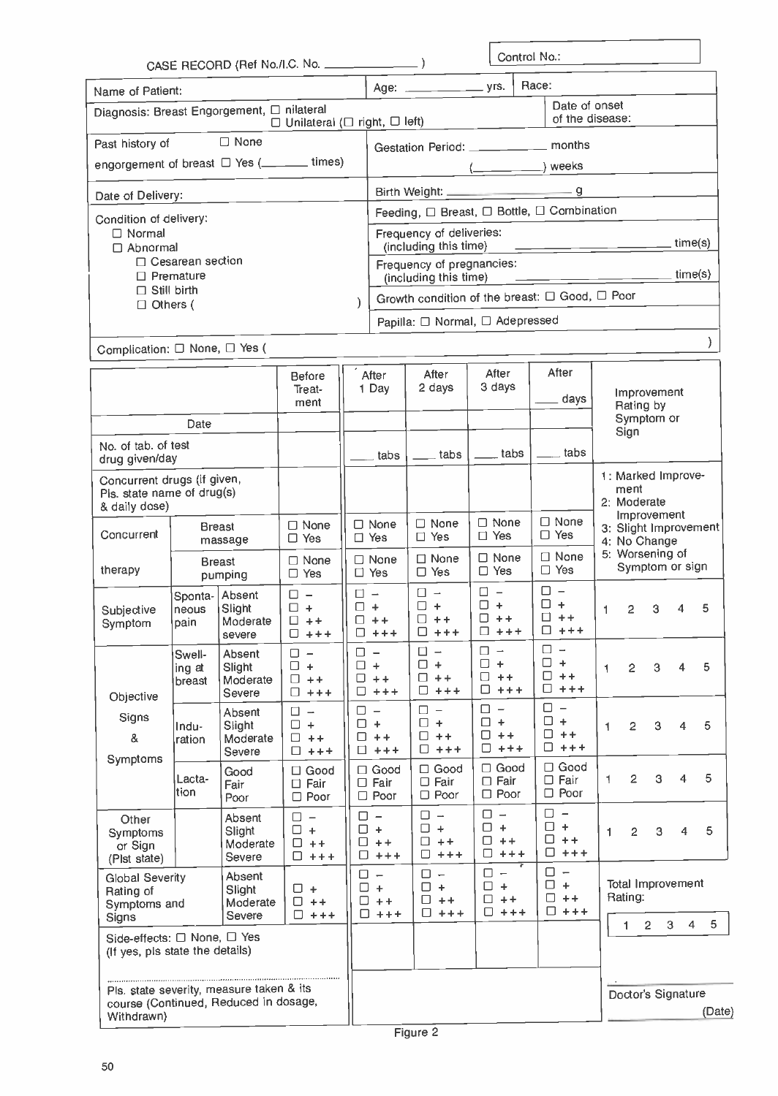|                                                                                                        |                                             |                                        | CASE RECORD (Ref No./I.C. No. _______________)                             |                                                              |                                                                                                                                                                                                                                                                                                                                                                                                                                                             |                                  |                                                             |                                                             | Control No.:                                    |                                       |                                                      |                                           |                          |                         |              |        |
|--------------------------------------------------------------------------------------------------------|---------------------------------------------|----------------------------------------|----------------------------------------------------------------------------|--------------------------------------------------------------|-------------------------------------------------------------------------------------------------------------------------------------------------------------------------------------------------------------------------------------------------------------------------------------------------------------------------------------------------------------------------------------------------------------------------------------------------------------|----------------------------------|-------------------------------------------------------------|-------------------------------------------------------------|-------------------------------------------------|---------------------------------------|------------------------------------------------------|-------------------------------------------|--------------------------|-------------------------|--------------|--------|
| Name of Patient:                                                                                       |                                             |                                        |                                                                            |                                                              |                                                                                                                                                                                                                                                                                                                                                                                                                                                             |                                  |                                                             |                                                             |                                                 | Race:                                 |                                                      |                                           |                          |                         |              |        |
| Diagnosis: Breast Engorgement, O nilateral                                                             |                                             |                                        | $\Box$ Unilateral ( $\Box$ right, $\Box$ left)                             |                                                              |                                                                                                                                                                                                                                                                                                                                                                                                                                                             |                                  |                                                             |                                                             |                                                 |                                       | Date of onset<br>of the disease:                     |                                           |                          |                         |              |        |
| Past history of                                                                                        |                                             | $\Box$ None                            |                                                                            |                                                              |                                                                                                                                                                                                                                                                                                                                                                                                                                                             |                                  |                                                             |                                                             |                                                 |                                       |                                                      |                                           |                          |                         |              |        |
|                                                                                                        |                                             |                                        |                                                                            |                                                              | Gestation Period: __________ months<br>$(\_\_$ weeks                                                                                                                                                                                                                                                                                                                                                                                                        |                                  |                                                             |                                                             |                                                 |                                       |                                                      |                                           |                          |                         |              |        |
| Date of Delivery:                                                                                      |                                             |                                        |                                                                            |                                                              |                                                                                                                                                                                                                                                                                                                                                                                                                                                             |                                  |                                                             |                                                             |                                                 |                                       |                                                      |                                           |                          |                         |              |        |
| Condition of delivery:                                                                                 |                                             |                                        |                                                                            |                                                              | Feeding, $\Box$ Breast, $\Box$ Bottle, $\Box$ Combination                                                                                                                                                                                                                                                                                                                                                                                                   |                                  |                                                             |                                                             |                                                 |                                       |                                                      |                                           |                          |                         |              |        |
| $\Box$ Normal<br>$\Box$ Abnormal                                                                       |                                             |                                        |                                                                            |                                                              | Frequency of deliveries:<br>$\frac{\sqrt{1-\frac{1}{2}-1-\frac{1}{2}-1-\frac{1}{2}-1-\frac{1}{2}-1-\frac{1}{2}-1-\frac{1}{2}-1-\frac{1}{2}-1-\frac{1}{2}-1-\frac{1}{2}-1-\frac{1}{2}-1-\frac{1}{2}-1-\frac{1}{2}-1-\frac{1}{2}-1-\frac{1}{2}-1-\frac{1}{2}-1-\frac{1}{2}-1-\frac{1}{2}-1-\frac{1}{2}-1-\frac{1}{2}-1-\frac{1}{2}-1-\frac{1}{2}-1-\frac{1}{2}-1-\frac{1}{2}-1-\frac{1}{2}-1-\frac{1}{2}-1-\frac{1}{2}-1-\frac{1}{2$<br>(including this time) |                                  |                                                             |                                                             |                                                 |                                       |                                                      |                                           |                          |                         |              |        |
|                                                                                                        | $\Box$ Cesarean section<br>$\Box$ Premature |                                        |                                                                            |                                                              | Frequency of pregnancies:<br><u>__________________________________time(s)</u><br>(including this time)                                                                                                                                                                                                                                                                                                                                                      |                                  |                                                             |                                                             |                                                 |                                       |                                                      |                                           |                          |                         |              |        |
| $\Box$ Still birth<br>$\Box$ Others (                                                                  |                                             |                                        |                                                                            |                                                              |                                                                                                                                                                                                                                                                                                                                                                                                                                                             |                                  | Growth condition of the breast: □ Good, □ Poor              |                                                             |                                                 |                                       |                                                      |                                           |                          |                         |              |        |
|                                                                                                        |                                             |                                        |                                                                            |                                                              |                                                                                                                                                                                                                                                                                                                                                                                                                                                             |                                  | Papilla: □ Normal, □ Adepressed                             |                                                             |                                                 |                                       |                                                      |                                           |                          |                         |              |        |
| Complication: □ None, □ Yes (                                                                          |                                             |                                        |                                                                            |                                                              |                                                                                                                                                                                                                                                                                                                                                                                                                                                             |                                  |                                                             |                                                             |                                                 |                                       |                                                      |                                           |                          |                         |              |        |
|                                                                                                        |                                             |                                        | <b>Before</b>                                                              |                                                              | After                                                                                                                                                                                                                                                                                                                                                                                                                                                       |                                  | After                                                       |                                                             | After                                           |                                       | After                                                |                                           |                          |                         |              |        |
|                                                                                                        |                                             |                                        | Treat-<br>ment                                                             |                                                              | 1 Day                                                                                                                                                                                                                                                                                                                                                                                                                                                       |                                  | 2 days                                                      |                                                             | 3 days                                          |                                       | ____ days                                            |                                           | Improvement<br>Rating by |                         |              |        |
|                                                                                                        | Date                                        |                                        |                                                                            |                                                              |                                                                                                                                                                                                                                                                                                                                                                                                                                                             |                                  |                                                             |                                                             |                                                 |                                       |                                                      |                                           | Symptom or<br>Sign       |                         |              |        |
| No. of tab. of test<br>drug given/day                                                                  |                                             |                                        |                                                                            |                                                              | tabs                                                                                                                                                                                                                                                                                                                                                                                                                                                        |                                  | <u>___</u> tabs                                             |                                                             | $\frac{1}{2}$ tabs                              |                                       | tabs                                                 |                                           |                          |                         |              |        |
| Concurrent drugs (if given,<br>Pls. state name of drug(s)<br>& daily dose)                             |                                             |                                        |                                                                            |                                                              |                                                                                                                                                                                                                                                                                                                                                                                                                                                             |                                  |                                                             |                                                             |                                                 |                                       |                                                      | 1: Marked Improve-<br>ment<br>2: Moderate |                          |                         |              |        |
| Breast<br>Concurrent<br>massage                                                                        |                                             |                                        | $\Box$ None<br>$\Box$ Yes                                                  | $\Box$ None<br>$\Box$ Yes                                    |                                                                                                                                                                                                                                                                                                                                                                                                                                                             |                                  | $\Box$ None<br>$\Box$ Yes                                   |                                                             | $\Box$ None<br>$\Box$ Yes                       | $\Box$ None<br>$\Box$ Yes             | Improvement<br>3: Slight Improvement<br>4: No Change |                                           |                          |                         |              |        |
| therapy                                                                                                |                                             | <b>Breast</b><br>pumping               | $\Box$ None<br>$\Box$ Yes                                                  |                                                              | $\Box$ None<br>$\Box$ Yes                                                                                                                                                                                                                                                                                                                                                                                                                                   |                                  | $\Box$ None<br>$\Box$ Yes                                   |                                                             | $\square$ None<br>$\Box$ Yes                    |                                       | $\Box$ None<br>$\Box$ Yes                            | 5: Worsening of<br>Symptom or sign        |                          |                         |              |        |
| Subjective<br>Symptom                                                                                  | Sponta-<br>neous<br><b>pain</b>             | Absent<br>Slight<br>Moderate<br>severe | $\square$ -<br>$\square$ +<br>$\Box$ ++<br>$\Box$ +++                      | $\square$ $\rightarrow$<br>$\Box$ +                          | $\Box$ ++<br>□ +++                                                                                                                                                                                                                                                                                                                                                                                                                                          | ◡                                | $\square$ $\rightarrow$<br>$\Box$ +<br>$\Box$ ++<br>$+ + +$ |                                                             | $\Box$ -<br>$\Box$ +<br>$\Box$ ++<br>□ +++      |                                       | $\Box$ -<br>$\Box$ +<br>$\Box$ ++<br>$\Box$ +++      | 1                                         | $\overline{2}$           | 3                       | 4            | 5      |
| Objective                                                                                              | Swell-<br>ing at<br>breast                  | Absent<br>Slight<br>Moderate<br>Severe | 0<br>$\overline{\phantom{m}}$<br>$\ddot{}$<br>0<br>□ ++<br>0<br>$+ + +$    | □ -<br>$\Box$ +                                              | □ ++<br>□ +++                                                                                                                                                                                                                                                                                                                                                                                                                                               | 0                                | □ -<br>□ +<br>□ ++<br>$+ + +$                               | 0<br>□                                                      | □ -<br>$\Box$ +<br>$+ +$<br>$+ + +$             | 0.                                    | $\Box$ $-$<br>□ +<br>□ ++<br>$+ + +$                 | 1                                         | 2                        | 3                       | 4            | 5      |
| Signs<br>&                                                                                             | Indu-<br>ration                             | Absent<br>Slight<br>Moderate<br>Severe | 0<br>$\overline{\phantom{a}}$<br>÷<br>□<br>□<br>$+ +$<br>П.<br>$+ + +$     | 0<br>0.<br>0.                                                | $\overline{\phantom{m}}$<br>$\ddot{}$<br>$+ +$<br>$\Box$ +++                                                                                                                                                                                                                                                                                                                                                                                                | 0.                               | □ -<br>□ +<br>$+ +$<br>□ +++                                | 0<br>□<br>□.                                                | □ -<br>$\ddot{}$<br>$+ +$<br>$+ + +$            | 0                                     | □ -<br>$\pm$<br>□ ++<br>$\Box$ +++                   | 1                                         | $\overline{c}$           | 3                       | 4            | 5      |
| Symptoms                                                                                               | Lacta-<br>ltion                             | Good<br>Fair<br>Poor                   | $\Box$ Good<br>$\Box$ Fair<br>$\square$ Poor                               |                                                              | $\Box$ Good<br>$\square$ Fair<br>$\Box$ Poor                                                                                                                                                                                                                                                                                                                                                                                                                |                                  | $\Box$ Good<br>$\Box$ Fair<br>$\square$ Poor                |                                                             | $\Box$ Good<br>$\Box$ Fair<br>$\square$ Poor    |                                       | $\Box$ Good<br>$\Box$ Fair<br>$\Box$ Poor            | 1                                         | $\overline{c}$           | 3                       | 4            | 5      |
| Other<br>Symptoms<br>or Sign<br>(Plst state)                                                           |                                             | Absent<br>Slight<br>Moderate<br>Severe | □<br>$\overline{\phantom{a}}$<br>□<br>$\ddot{}$<br>□<br>$++$<br>$\Box$ +++ | 0<br>П<br>◻<br>□                                             | $\qquad \qquad -$<br>÷.<br>$+ +$<br>$+ + +$                                                                                                                                                                                                                                                                                                                                                                                                                 | 0                                | □ -<br>$\ddot{}$<br>$\Box$ ++<br>$\Box$ +++                 | □<br>□<br>О                                                 | □ -<br>$\ddot{\phantom{1}}$<br>$+ +$<br>$+ + +$ | 0                                     | □ -<br>$\ddot{}$<br>$\Box$ ++<br>$\Box$ +++          | 1                                         | 2                        | 3                       | 4            | 5      |
| Absent<br><b>Global Severity</b><br>Slight<br>Rating of<br>Moderate<br>Symptoms and<br>Severe<br>Signs |                                             | U<br>$+$<br>$\Box$ ++<br>$\Box$ +++    | □<br>□<br>□                                                                | $\overline{\phantom{m}}$<br>$\ddot{}$<br>$+ +$<br>$\Box$ +++ |                                                                                                                                                                                                                                                                                                                                                                                                                                                             | □ -<br>□ +<br>$\Box$ ++<br>□ +++ | □<br>О<br>□                                                 | $\overline{\phantom{m}}$<br>$\ddot{}$<br>$++$<br>$\Box$ +++ | $\Box$                                          | □ -<br>$+$<br>$\Box$ ++<br>$\Box$ +++ |                                                      | <b>Total Improvement</b><br>Rating:       |                          |                         |              |        |
| Side-effects: □ None, □ Yes<br>(If yes, pls state the details)                                         |                                             |                                        |                                                                            |                                                              |                                                                                                                                                                                                                                                                                                                                                                                                                                                             |                                  |                                                             |                                                             |                                                 |                                       |                                                      |                                           | 1                        | $\overline{\mathbf{c}}$ | $\mathbf{3}$ | 5<br>4 |
| Pls. state severity, measure taken & its<br>course (Continued, Reduced in dosage,                      |                                             |                                        |                                                                            |                                                              |                                                                                                                                                                                                                                                                                                                                                                                                                                                             |                                  |                                                             |                                                             |                                                 |                                       |                                                      | Doctor's Signature                        |                          |                         |              |        |
| Withdrawn)                                                                                             |                                             |                                        |                                                                            |                                                              |                                                                                                                                                                                                                                                                                                                                                                                                                                                             |                                  |                                                             |                                                             |                                                 |                                       |                                                      |                                           |                          |                         |              | (Date) |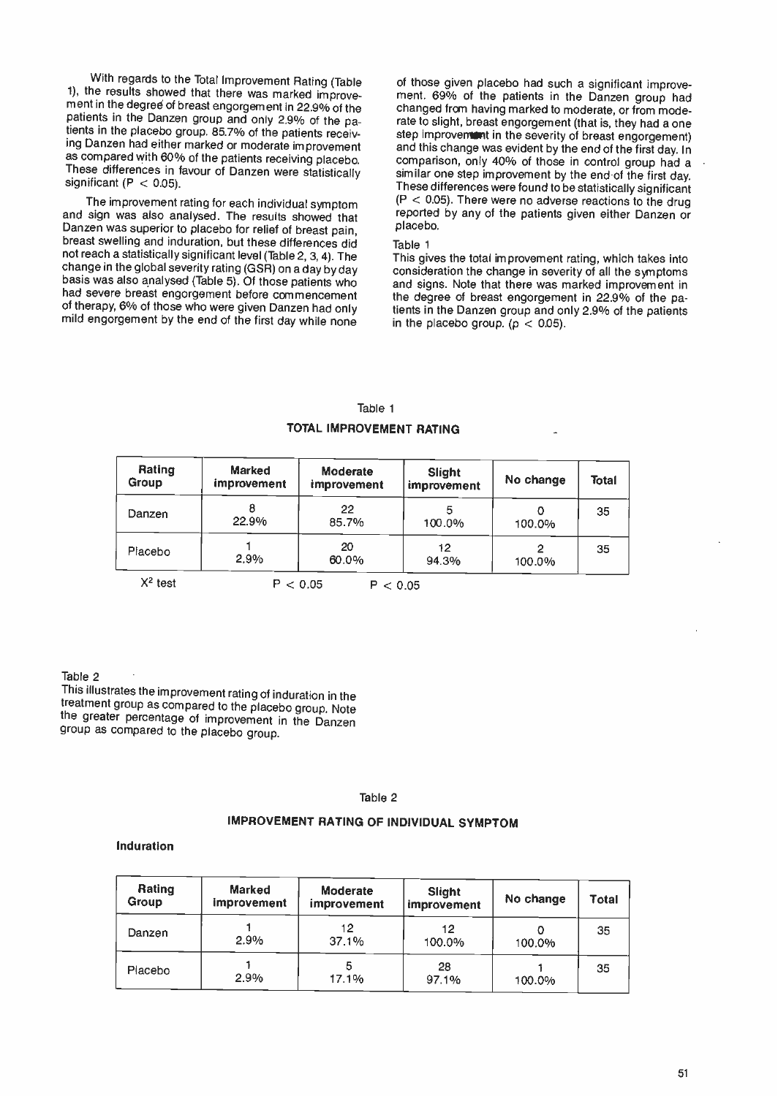With regards to the Total Improvement Rating (Table 1). the results showed that there was marked improvement in the degree of breast engorgement in 22.9% of the patients in the Danzen group and only 2.9% of the patients in the placebo group. 85.7% of the patients receiving Danzen had either marked or moderate improvement as compared with 60% of the patients receiving placebo.<br>These differences in favour of Danzen were statistically significant (P < 0.05).

The improvement rating for each individual symptom<br>and sign was also analysed. The results showed that<br>Danzen was superior to placebo for relief of breast pain. breast swelling and induration, but these differences did not reach a statistically significant level (Table 2, 3, 4). The<br>change in the global severity rating (GSR) on a day by day basis was also analysed (Table 5). Of those patients who had severe breast engorgement before commencement<br>of therapy, 6% of those who were given Danzen had only mild engorgement by the end of the first day while none

of those given placebo had such a significant improvement. 69% of the patients in the Danzen group had changed from having marked to moderate, or from moderate to slight, breast engorgement (that is, they had a one step improvement) and this change was evident by the end of the first day. In comparison, only 40% of those in control group had a similar one step improvement by the end of the first day.<br>These differences were found to be statistically significant<br> $(P < 0.05)$ . There were no adverse reactions to the drug reported by any of the patients given either Danzen or placebo.

# Table 1

This gives the total improvement rating, which takes into consideration the change in severity of all the symptoms and signs. Note that there was marked improvement in the degree of breast engorgement in 22.9% of the patients in the Danzen group and only 2.9% of the patients in the placebo group. ( $p < 0.05$ ).

| Rating<br><b>Group</b> | <b>Marked</b><br>improvement | Moderate<br>improvement | Slight<br>improvement | No change   | Total<br>35 |  |
|------------------------|------------------------------|-------------------------|-----------------------|-------------|-------------|--|
| Danzen                 | 8<br>22.9%                   | 22<br>85.7%             | 5<br>100.0%           | O<br>100.0% |             |  |
| Placebo                | 2.9%                         | 20<br>60.0%             | 12<br>94.3%           | 2<br>100.0% | 35          |  |
| $X^2$ test             |                              | < 0.05                  | < 0.05                |             |             |  |

Table 1 TOTAL IMPROVEMENT RATING

Table 2<br>This illustrates the improvement rating of induration in the treatment group as compared to the placebo group. Note the greater percentage of improvement in the Danzen group as compared to the placebo group.

#### Table 2

# IMPROVEMENT RATING OF INDIVIDUAL SYMPTOM

#### Induration

| Rating<br>Group | <b>Marked</b><br>improvement | Moderate<br>improvement | Slight<br>improvement | No change | Total |
|-----------------|------------------------------|-------------------------|-----------------------|-----------|-------|
| Danzen          | 2.9%                         | 12<br>37.1%             | 12<br>100.0%          | 100.0%    | 35    |
| Placebo         | 2.9%                         | 5<br>17.1%              | 28<br>97.1%           | 100.0%    | 35    |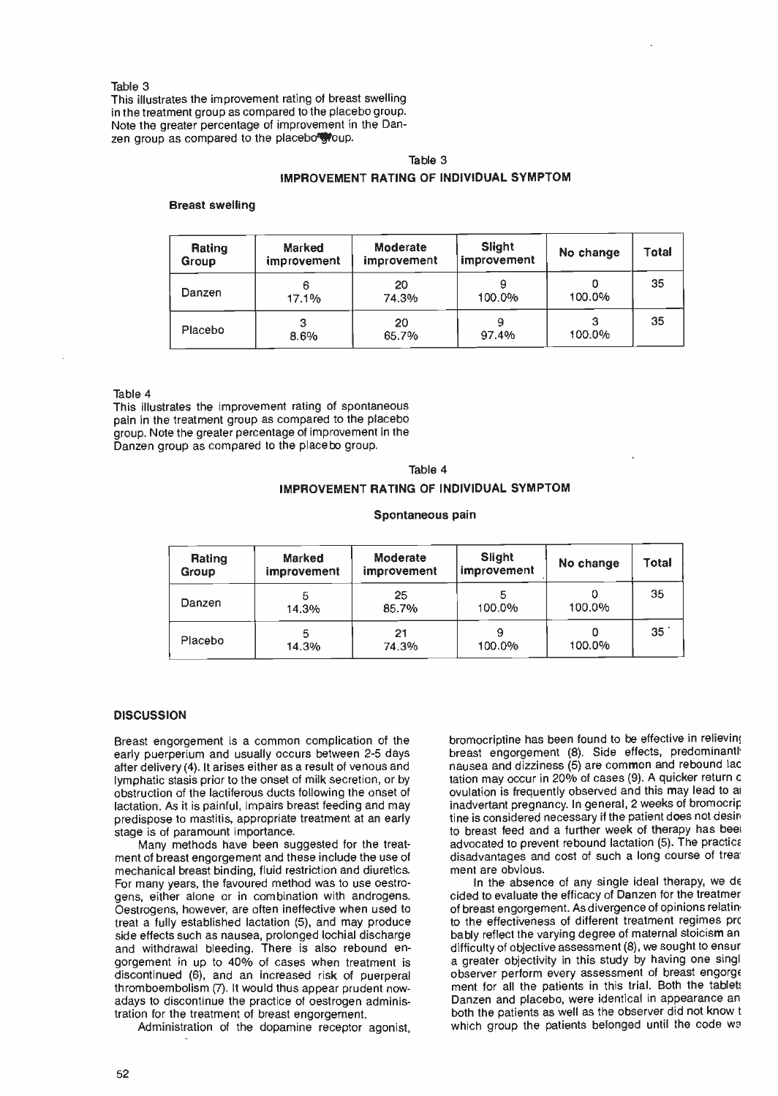#### Table 3

This illustrates the improvement rating of breast swelling in the treatment group as compared to the placebo group. Note the greater percentage of improvement in the Danzen group as compared to the placebo<sup>rty</sup>oup.

# Table 3 IMPROVEMENT RATING OF INDIVIDUAL SYMPTOM

# Breast swelling

| <b>Rating</b><br>Group | <b>Marked</b><br>improvement | <b>Moderate</b><br>improvement | Slight<br>improvement | No change | Total |
|------------------------|------------------------------|--------------------------------|-----------------------|-----------|-------|
| Danzen                 | 17.1%                        | 20<br>74.3%                    | 9<br>100.0%           | 100.0%    | 35    |
| Placebo                | 3<br>8.6%                    | 20<br>65.7%                    | 9<br>97.4%            | 100.0%    | 35    |

Table 4

This illustrates the improvement rating of spontaneous pain in the treatment group as compared to the placebo group. Note the greater percentage of improvement in the Danzen group as compared to the placebo group.

# Table 4 IMPROVEMENT RATING OF INDIVIDUAL SYMPTOM

#### Spontaneous pain

| Marked<br><b>Rating</b><br>improvement<br>Group |            | Moderate<br><i>improvement</i> | Slight<br>improvement | No change | Total |  |
|-------------------------------------------------|------------|--------------------------------|-----------------------|-----------|-------|--|
| Danzen                                          | 14.3%      | 25<br>85.7%                    | 100.0%                | 100.0%    | 35    |  |
| Placebo                                         | 5<br>14.3% | 21<br>74.3%                    | 9<br>100.0%           | 100.0%    | 35    |  |

## **DISCUSSION**

Breast engorgement is a common complication of the early puerperium and usually occurs between 2-5 days after delivery (4). It arises either as a result of venous and lymphatic stasis prior to the onset of milk secretion, or by obstruction of the lactiferous ducts following the onset of lactation. As it is painful, impairs breast feeding and may predispose to mastitis, appropriate treatment at an early stage is of paramount importance.

Many methods have been suggested for the treatment of breast engorgement and these include the use of mechanical breast binding, fluid restriction and diuretics. For many years, the favoured method was to use oestrogens, either alone or in combination with androgens. Oestrogens, however, are often ineffective when used to treat a fully established lactation (5), and may produce side effects such as nausea, prolonged lochial discharge and withdrawal bleeding. There is also rebound engorgement in up to 40% of cases when treatment is discontinued (6), and an increased risk of puerperal thromboembolism (7). It would thus appear prudent now adays to discontinue the practice of oestrogen administration for the treatment of breast engorgement.

Administration of the dopamine receptor agonist,

bromocriptine has been found to be effective in relieving breast engorgement (8). Side effects, predominanti nausea and dizziness (5) are common and rebound lac tation may occur in 20% of cases (9). A quicker return c ovulation is frequently observed and this may lead to al inadvertent pregnancy. In general, 2 weeks of bromocrip tine is considered necessary if the patient does not desir to breast feed and a further week of therapy has bee advocated to prevent rebound lactation (5). The practice disadvantages and cost of such a long course of treat ment are obvious.

In the absence of any single ideal therapy, we de cided to evaluate the efficacy of Danzen for the treatmer of breast engorgement. As divergence of opinions relatin to the effectiveness of different treatment regimes prc bably reflect the varying degree of maternal stoicism an difficulty of objective assessment (8), we sought to ensur a greater objectivity in this study by having one singl observer perform every assessment of breast engorge ment for all the patients in this trial. Both the tablet: Danzen and placebo, were identical in appearance an both the patients as well as the observer did not know t which group the patients belonged until the code we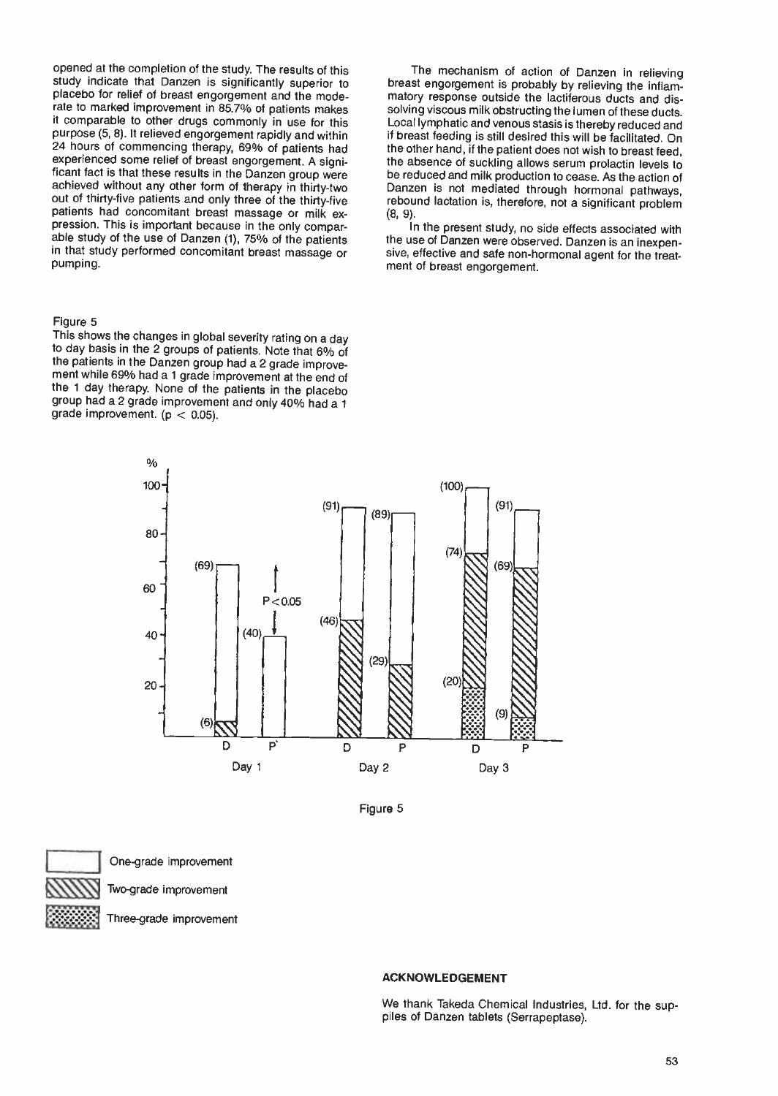opened at the completion of the study. The results of this study indicate that Danzen is significantly superior to placebo for relief of breast engorgement and the moderate to marked improvement in 85.7% of patients makes it comparable to other drugs commonly in use for this purpose (5, 8). It relieved engorgement rapidly and within 24 hours of commencing therapy, 69% of patients had ficant fact is that these results in the Danzen group were achieved without any other form of therapy in thirty-two out of thirty-five patients and only three of the thirty-five patients had concomitant breast massage or milk expression. This is important because in the only compar-<br>able study of the use of Danzen (1), 75% of the patients in that study performed concomitant breast massage or pumping.

# Figure 5

This shows the changes in global severity rating on a day to day basis in the 2 groups of patients. Note that 6% of the patients in the Danzen group had a 2 grade improvement while 69% had a 1 grade improvement at the end of the 1 day therapy. None of the patients in the placebo group had a 2 grade improvement and only 40% had a 1 grade improvement. ( $p < 0.05$ ).

The mechanism of action of Danzen in relieving breast engorgement is probably by relieving the inflammatory response outside the lactiferous ducts and dissolving viscous milk obstructing the lumen of these ducts. Local lymphatic and venous stasis is thereby reduced and if breast feeding is still desired this will be facilitated. On the other hand, if the patient does not wish to breast feed, the absence of suckling allows serum prolactin levels to be reduced and milk production to cease. As the action of Danzen is not mediated through hormonal pathways, rebound lactation is, therefore, not a significant problem (8, 9).

In the present study, no side effects associated with the use of Danzen were observed. Danzen is an inexpensive, effective and safe non -hormonal agent for the treatment of breast engorgement.



Figure 5



One -grade improvement

Two -grade improvement

Three -grade improvement

# ACKNOWLEDGEMENT

We thank Takeda Chemical Industries, Ltd. for the supplies of Danzen tablets (Serrapeptase).